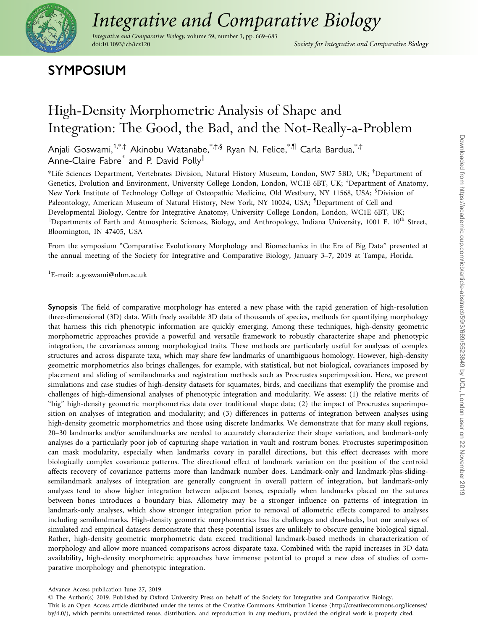

# [Integrative and Comparative Biology](https://academic.oup.com/)

Integrative and Comparative Biology, volume 59, number 3, pp. 669–683 doi:10.1093/icb/icz120 Society for Integrative and Comparative Biology

# SYMPOSIUM

# High-Density Morphometric Analysis of Shape and Integration: The Good, the Bad, and the Not-Really-a-Problem

Anjali Goswami,<sup>1,\*,†</sup> Akinobu Watanabe,<sup>\*,‡,§</sup> Ryan N. Felice,<sup>\*,¶</sup> Carla Bardua,<sup>\*,†</sup> Anne-Claire Fabre<sup>\*</sup> and P. David Polly<sup>||</sup>

\*Life Sciences Department, Vertebrates Division, Natural History Museum, London, SW7 5BD, UK; † Department of Genetics, Evolution and Environment, University College London, London, WC1E 6BT, UK; <sup>‡</sup>Department of Anatomy, New York Institute of Technology College of Osteopathic Medicine, Old Westbury, NY 11568, USA; <sup>\$</sup>Division of Paleontology, American Museum of Natural History, New York, NY 10024, USA; <sup>5</sup>Department of Cell and Developmental Biology, Centre for Integrative Anatomy, University College London, London, WC1E 6BT, UK; <sup>||</sup>Departments of Earth and Atmospheric Sciences, Biology, and Anthropology, Indiana University, 1001 E. 10<sup>th</sup> Street, Bloomington, IN 47405, USA

From the symposium "Comparative Evolutionary Morphology and Biomechanics in the Era of Big Data" presented at the annual meeting of the Society for Integrative and Comparative Biology, January 3–7, 2019 at Tampa, Florida.

1 E-mail: a.goswami@nhm.ac.uk

Synopsis The field of comparative morphology has entered a new phase with the rapid generation of high-resolution three-dimensional (3D) data. With freely available 3D data of thousands of species, methods for quantifying morphology that harness this rich phenotypic information are quickly emerging. Among these techniques, high-density geometric morphometric approaches provide a powerful and versatile framework to robustly characterize shape and phenotypic integration, the covariances among morphological traits. These methods are particularly useful for analyses of complex structures and across disparate taxa, which may share few landmarks of unambiguous homology. However, high-density geometric morphometrics also brings challenges, for example, with statistical, but not biological, covariances imposed by placement and sliding of semilandmarks and registration methods such as Procrustes superimposition. Here, we present simulations and case studies of high-density datasets for squamates, birds, and caecilians that exemplify the promise and challenges of high-dimensional analyses of phenotypic integration and modularity. We assess: (1) the relative merits of "big" high-density geometric morphometrics data over traditional shape data; (2) the impact of Procrustes superimposition on analyses of integration and modularity; and (3) differences in patterns of integration between analyses using high-density geometric morphometrics and those using discrete landmarks. We demonstrate that for many skull regions, 20–30 landmarks and/or semilandmarks are needed to accurately characterize their shape variation, and landmark-only analyses do a particularly poor job of capturing shape variation in vault and rostrum bones. Procrustes superimposition can mask modularity, especially when landmarks covary in parallel directions, but this effect decreases with more biologically complex covariance patterns. The directional effect of landmark variation on the position of the centroid affects recovery of covariance patterns more than landmark number does. Landmark-only and landmark-plus-slidingsemilandmark analyses of integration are generally congruent in overall pattern of integration, but landmark-only analyses tend to show higher integration between adjacent bones, especially when landmarks placed on the sutures between bones introduces a boundary bias. Allometry may be a stronger influence on patterns of integration in landmark-only analyses, which show stronger integration prior to removal of allometric effects compared to analyses including semilandmarks. High-density geometric morphometrics has its challenges and drawbacks, but our analyses of simulated and empirical datasets demonstrate that these potential issues are unlikely to obscure genuine biological signal. Rather, high-density geometric morphometric data exceed traditional landmark-based methods in characterization of morphology and allow more nuanced comparisons across disparate taxa. Combined with the rapid increases in 3D data availability, high-density morphometric approaches have immense potential to propel a new class of studies of comparative morphology and phenotypic integration.

Advance Access publication June 27, 2019

- The Author(s) 2019. Published by Oxford University Press on behalf of the Society for Integrative and Comparative Biology. This is an Open Access article distributed under the terms of the Creative Commons Attribution License (http://creativecommons.org/licenses/ by/4.0/), which permits unrestricted reuse, distribution, and reproduction in any medium, provided the original work is properly cited.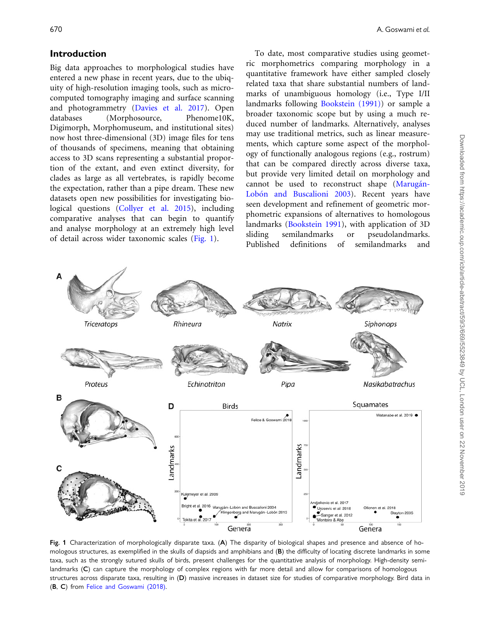#### <span id="page-1-0"></span>Introduction

Big data approaches to morphological studies have entered a new phase in recent years, due to the ubiquity of high-resolution imaging tools, such as microcomputed tomography imaging and surface scanning and photogrammetry ([Davies et al. 2017\)](#page-13-0). Open databases (Morphosource, Phenome10K, Digimorph, Morphomuseum, and institutional sites) now host three-dimensional (3D) image files for tens of thousands of specimens, meaning that obtaining access to 3D scans representing a substantial proportion of the extant, and even extinct diversity, for clades as large as all vertebrates, is rapidly become the expectation, rather than a pipe dream. These new datasets open new possibilities for investigating biological questions ([Collyer et al. 2015](#page-13-0)), including comparative analyses that can begin to quantify and analyse morphology at an extremely high level of detail across wider taxonomic scales (Fig. 1).

To date, most comparative studies using geometric morphometrics comparing morphology in a quantitative framework have either sampled closely related taxa that share substantial numbers of landmarks of unambiguous homology (i.e., Type I/II landmarks following [Bookstein \(1991\)](#page-13-0)) or sample a broader taxonomic scope but by using a much reduced number of landmarks. Alternatively, analyses may use traditional metrics, such as linear measurements, which capture some aspect of the morphology of functionally analogous regions (e.g., rostrum) that can be compared directly across diverse taxa, but provide very limited detail on morphology and cannot be used to reconstruct shape ([Marug](#page-14-0)á[n-](#page-14-0)Lobón and Buscalioni 2003). Recent years have seen development and refinement of geometric morphometric expansions of alternatives to homologous landmarks ([Bookstein 1991](#page-13-0)), with application of 3D sliding semilandmarks or pseudolandmarks. Published definitions of semilandmarks and



Fig. 1 Characterization of morphologically disparate taxa. (A) The disparity of biological shapes and presence and absence of homologous structures, as exemplified in the skulls of diapsids and amphibians and (B) the difficulty of locating discrete landmarks in some taxa, such as the strongly sutured skulls of birds, present challenges for the quantitative analysis of morphology. High-density semilandmarks (C) can capture the morphology of complex regions with far more detail and allow for comparisons of homologous structures across disparate taxa, resulting in (D) massive increases in dataset size for studies of comparative morphology. Bird data in (B, C) from [Felice and Goswami \(2018\).](#page-13-0)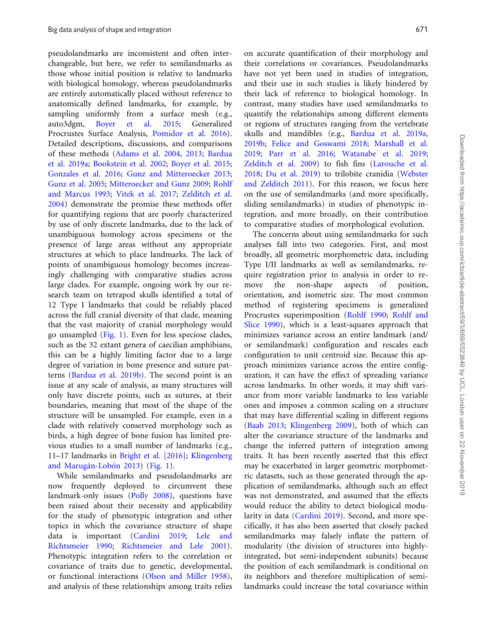pseudolandmarks are inconsistent and often interchangeable, but here, we refer to semilandmarks as those whose initial position is relative to landmarks with biological homology, whereas pseudolandmarks are entirely automatically placed without reference to anatomically defined landmarks, for example, by sampling uniformly from a surface mesh (e.g., auto3dgm, [Boyer et al. 2015](#page-13-0); Generalized Procrustes Surface Analysis, [Pomidor et al. 2016\)](#page-14-0). Detailed descriptions, discussions, and comparisons of these methods ([Adams et al. 2004, 2013](#page-13-0); [Bardua](#page-13-0) [et al. 2019a](#page-13-0); [Bookstein et al. 2002](#page-13-0); [Boyer et al. 2015;](#page-13-0) [Gonzales et al. 2016](#page-13-0); [Gunz and Mitteroecker 2013;](#page-13-0) [Gunz et al. 2005](#page-13-0); [Mitteroecker and Gunz 2009](#page-14-0); [Rohlf](#page-14-0) [and Marcus 1993;](#page-14-0) [Vitek et al. 2017](#page-14-0); [Zelditch et al.](#page-14-0) [2004\)](#page-14-0) demonstrate the promise these methods offer for quantifying regions that are poorly characterized by use of only discrete landmarks, due to the lack of unambiguous homology across specimens or the presence of large areas without any appropriate structures at which to place landmarks. The lack of points of unambiguous homology becomes increasingly challenging with comparative studies across large clades. For example, ongoing work by our research team on tetrapod skulls identified a total of 12 Type I landmarks that could be reliably placed across the full cranial diversity of that clade, meaning that the vast majority of cranial morphology would go unsampled [\(Fig. 1\)](#page-1-0). Even for less speciose clades, such as the 32 extant genera of caecilian amphibians, this can be a highly limiting factor due to a large degree of variation in bone presence and suture patterns ([Bardua et al. 2019b](#page-13-0)). The second point is an issue at any scale of analysis, as many structures will only have discrete points, such as sutures, at their boundaries, meaning that most of the shape of the structure will be unsampled. For example, even in a clade with relatively conserved morphology such as birds, a high degree of bone fusion has limited previous studies to a small number of landmarks (e.g., 11–17 landmarks in [Bright et al. \[2016\]](#page-13-0); [Klingenberg](#page-13-0) [and Marug](#page-13-0)án-Lobón 2013) ([Fig. 1\)](#page-1-0).

While semilandmarks and pseudolandmarks are now frequently deployed to circumvent these landmark-only issues ([Polly 2008](#page-14-0)), questions have been raised about their necessity and applicability for the study of phenotypic integration and other topics in which the covariance structure of shape data is important [\(Cardini 2019;](#page-13-0) [Lele and](#page-13-0) [Richtsmeier 1990](#page-13-0); [Richtsmeier and Lele 2001\)](#page-14-0). Phenotypic integration refers to the correlation or covariance of traits due to genetic, developmental, or functional interactions ([Olson and Miller 1958\)](#page-14-0), and analysis of these relationships among traits relies on accurate quantification of their morphology and their correlations or covariances. Pseudolandmarks have not yet been used in studies of integration, and their use in such studies is likely hindered by their lack of reference to biological homology. In contrast, many studies have used semilandmarks to quantify the relationships among different elements or regions of structures ranging from the vertebrate skulls and mandibles (e.g., [Bardua et al. 2019a,](#page-13-0) [2019b;](#page-13-0) [Felice and Goswami 2018](#page-13-0); [Marshall et al.](#page-13-0) [2019](#page-13-0); [Parr et al. 2016](#page-14-0); [Watanabe et al. 2019;](#page-14-0) [Zelditch et al. 2009](#page-14-0)) to fish fins ([Larouche et al.](#page-13-0) [2018](#page-13-0); [Du et al. 2019\)](#page-13-0) to trilobite cranidia [\(Webster](#page-14-0) [and Zelditch 2011](#page-14-0)). For this reason, we focus here on the use of semilandmarks (and more specifically, sliding semilandmarks) in studies of phenotypic integration, and more broadly, on their contribution to comparative studies of morphological evolution.

The concerns about using semilandmarks for such analyses fall into two categories. First, and most broadly, all geometric morphometric data, including Type I/II landmarks as well as semilandmarks, require registration prior to analysis in order to remove the non-shape aspects of position, orientation, and isometric size. The most common method of registering specimens is generalized Procrustes superimposition [\(Rohlf 1990;](#page-14-0) [Rohlf and](#page-14-0) [Slice 1990\)](#page-14-0), which is a least-squares approach that minimizes variance across an entire landmark (and/ or semilandmark) configuration and rescales each configuration to unit centroid size. Because this approach minimizes variance across the entire configuration, it can have the effect of spreading variance across landmarks. In other words, it may shift variance from more variable landmarks to less variable ones and imposes a common scaling on a structure that may have differential scaling in different regions [\(Baab 2013](#page-13-0); [Klingenberg 2009](#page-13-0)), both of which can alter the covariance structure of the landmarks and change the inferred pattern of integration among traits. It has been recently asserted that this effect may be exacerbated in larger geometric morphometric datasets, such as those generated through the application of semilandmarks, although such an effect was not demonstrated, and assumed that the effects would reduce the ability to detect biological modularity in data ([Cardini 2019](#page-13-0)). Second, and more specifically, it has also been asserted that closely packed semilandmarks may falsely inflate the pattern of modularity (the division of structures into highlyintegrated, but semi-independent subunits) because the position of each semilandmark is conditional on its neighbors and therefore multiplication of semilandmarks could increase the total covariance within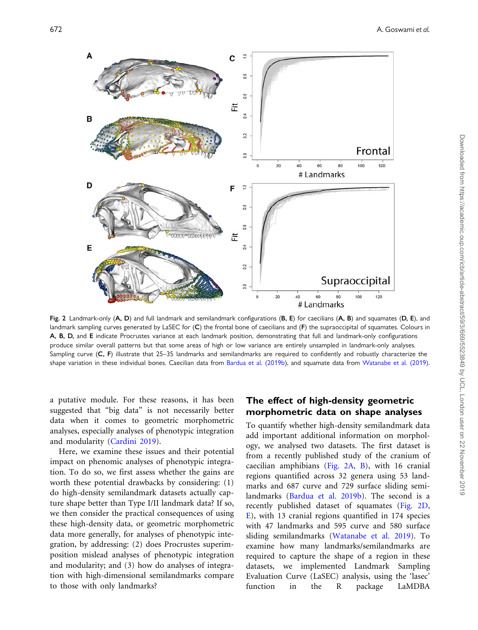<span id="page-3-0"></span>

Fig. 2 Landmark-only (A, D) and full landmark and semilandmark configurations (B, E) for caecilians (A, B) and squamates (D, E), and landmark sampling curves generated by LaSEC for (C) the frontal bone of caecilians and (F) the supraoccipital of squamates. Colours in A, B, D, and E indicate Procrustes variance at each landmark position, demonstrating that full and landmark-only configurations produce similar overall patterns but that some areas of high or low variance are entirely unsampled in landmark-only analyses. Sampling curve  $(C, F)$  illustrate that 25–35 landmarks and semilandmarks are required to confidently and robustly characterize the shape variation in these individual bones. Caecilian data from [Bardua et al. \(2019b\)](#page-13-0), and squamate data from [Watanabe et al. \(2019\).](#page-14-0)

a putative module. For these reasons, it has been suggested that "big data" is not necessarily better data when it comes to geometric morphometric analyses, especially analyses of phenotypic integration and modularity [\(Cardini 2019\)](#page-13-0).

Here, we examine these issues and their potential impact on phenomic analyses of phenotypic integration. To do so, we first assess whether the gains are worth these potential drawbacks by considering: (1) do high-density semilandmark datasets actually capture shape better than Type I/II landmark data? If so, we then consider the practical consequences of using these high-density data, or geometric morphometric data more generally, for analyses of phenotypic integration, by addressing: (2) does Procrustes superimposition mislead analyses of phenotypic integration and modularity; and (3) how do analyses of integration with high-dimensional semilandmarks compare to those with only landmarks?

# The effect of high-density geometric morphometric data on shape analyses

To quantify whether high-density semilandmark data add important additional information on morphology, we analysed two datasets. The first dataset is from a recently published study of the cranium of caecilian amphibians (Fig. 2A, B), with 16 cranial regions quantified across 32 genera using 53 landmarks and 687 curve and 729 surface sliding semilandmarks [\(Bardua et al. 2019b](#page-13-0)). The second is a recently published dataset of squamates (Fig. 2D, E), with 13 cranial regions quantified in 174 species with 47 landmarks and 595 curve and 580 surface sliding semilandmarks [\(Watanabe et al](#page-14-0). 2019). To examine how many landmarks/semilandmarks are required to capture the shape of a region in these datasets, we implemented Landmark Sampling Evaluation Curve (LaSEC) analysis, using the 'lasec' function in the R package LaMDBA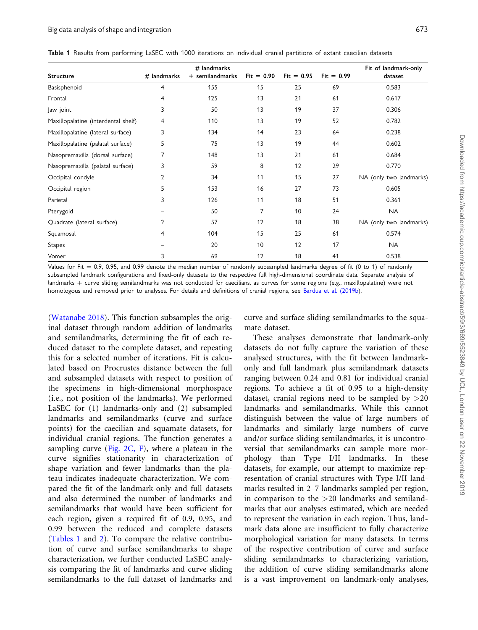| Table 1 Results from performing LaSEC with 1000 iterations on individual cranial partitions of extant caecilian datasets |  |  |  |  |  |  |  |
|--------------------------------------------------------------------------------------------------------------------------|--|--|--|--|--|--|--|
|                                                                                                                          |  |  |  |  |  |  |  |

|                                     |                | # landmarks     |              |              |              | Fit of landmark-only    |
|-------------------------------------|----------------|-----------------|--------------|--------------|--------------|-------------------------|
| Structure                           | # landmarks    | + semilandmarks | $Fit = 0.90$ | $Fit = 0.95$ | $Fit = 0.99$ | dataset                 |
| Basisphenoid                        | $\overline{4}$ | 155             | 15           | 25           | 69           | 0.583                   |
| Frontal                             | 4              | 125             | 13           | 21           | 61           | 0.617                   |
| Jaw joint                           | 3              | 50              | 13           | 19           | 37           | 0.306                   |
| Maxillopalatine (interdental shelf) | 4              | 110             | 13           | 19           | 52           | 0.782                   |
| Maxillopalatine (lateral surface)   | 3              | 134             | 14           | 23           | 64           | 0.238                   |
| Maxillopalatine (palatal surface)   | 5              | 75              | 13           | 19           | 44           | 0.602                   |
| Nasopremaxilla (dorsal surface)     | 7              | 148             | 13           | 21           | 61           | 0.684                   |
| Nasopremaxilla (palatal surface)    | 3              | 59              | 8            | 12           | 29           | 0.770                   |
| Occipital condyle                   | 2              | 34              | 11           | 15           | 27           | NA (only two landmarks) |
| Occipital region                    | 5              | 153             | 16           | 27           | 73           | 0.605                   |
| Parietal                            | 3              | 126             | 11           | 18           | 51           | 0.361                   |
| Pterygoid                           |                | 50              | 7            | 10           | 24           | <b>NA</b>               |
| Quadrate (lateral surface)          | 2              | 57              | 12           | 18           | 38           | NA (only two landmarks) |
| Squamosal                           | 4              | 104             | 15           | 25           | 61           | 0.574                   |
| <b>Stapes</b>                       |                | 20              | 10           | 12           | 17           | <b>NA</b>               |
| Vomer                               | 3              | 69              | 12           | 18           | 41           | 0.538                   |

Values for Fit = 0.9, 0.95, and 0.99 denote the median number of randomly subsampled landmarks degree of fit (0 to 1) of randomly subsampled landmark configurations and fixed-only datasets to the respective full high-dimensional coordinate data. Separate analysis of landmarks + curve sliding semilandmarks was not conducted for caecilians, as curves for some regions (e.g., maxillopalatine) were not homologous and removed prior to analyses. For details and definitions of cranial regions, see [Bardua et al. \(2019b](#page-13-0)).

([Watanabe 2018](#page-14-0)). This function subsamples the original dataset through random addition of landmarks and semilandmarks, determining the fit of each reduced dataset to the complete dataset, and repeating this for a selected number of iterations. Fit is calculated based on Procrustes distance between the full and subsampled datasets with respect to position of the specimens in high-dimensional morphospace (i.e., not position of the landmarks). We performed LaSEC for (1) landmarks-only and (2) subsampled landmarks and semilandmarks (curve and surface points) for the caecilian and squamate datasets, for individual cranial regions. The function generates a sampling curve (Fig.  $2C$ , F), where a plateau in the curve signifies stationarity in characterization of shape variation and fewer landmarks than the plateau indicates inadequate characterization. We compared the fit of the landmark-only and full datasets and also determined the number of landmarks and semilandmarks that would have been sufficient for each region, given a required fit of 0.9, 0.95, and 0.99 between the reduced and complete datasets (Tables 1 and [2\)](#page-5-0). To compare the relative contribution of curve and surface semilandmarks to shape characterization, we further conducted LaSEC analysis comparing the fit of landmarks and curve sliding semilandmarks to the full dataset of landmarks and

curve and surface sliding semilandmarks to the squamate dataset.

These analyses demonstrate that landmark-only datasets do not fully capture the variation of these analysed structures, with the fit between landmarkonly and full landmark plus semilandmark datasets ranging between 0.24 and 0.81 for individual cranial regions. To achieve a fit of 0.95 to a high-density dataset, cranial regions need to be sampled by  $>20$ landmarks and semilandmarks. While this cannot distinguish between the value of large numbers of landmarks and similarly large numbers of curve and/or surface sliding semilandmarks, it is uncontroversial that semilandmarks can sample more morphology than Type I/II landmarks. In these datasets, for example, our attempt to maximize representation of cranial structures with Type I/II landmarks resulted in 2–7 landmarks sampled per region, in comparison to the  $>20$  landmarks and semilandmarks that our analyses estimated, which are needed to represent the variation in each region. Thus, landmark data alone are insufficient to fully characterize morphological variation for many datasets. In terms of the respective contribution of curve and surface sliding semilandmarks to characterizing variation, the addition of curve sliding semilandmarks alone is a vast improvement on landmark-only analyses,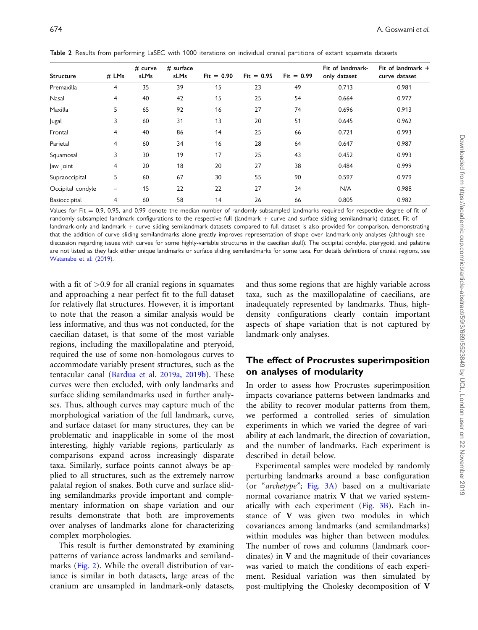| Structure         | # LMs | $#$ curve<br>sLMs | # surface<br>sLMs | $Fit = 0.90$ | $Fit = 0.95$ | $Fit = 0.99$ | Fit of landmark-<br>only dataset | Fit of landmark +<br>curve dataset |
|-------------------|-------|-------------------|-------------------|--------------|--------------|--------------|----------------------------------|------------------------------------|
| Premaxilla        | 4     | 35                | 39                | 15           | 23           | 49           | 0.713                            | 0.981                              |
| Nasal             | 4     | 40                | 42                | 15           | 25           | 54           | 0.664                            | 0.977                              |
| Maxilla           | 5     | 65                | 92                | 16           | 27           | 74           | 0.696                            | 0.913                              |
| Jugal             | 3     | 60                | 31                | 13           | 20           | 51           | 0.645                            | 0.962                              |
| Frontal           | 4     | 40                | 86                | 14           | 25           | 66           | 0.721                            | 0.993                              |
| Parietal          | 4     | 60                | 34                | 16           | 28           | 64           | 0.647                            | 0.987                              |
| Squamosal         | 3     | 30                | 19                | 17           | 25           | 43           | 0.452                            | 0.993                              |
| Jaw joint         | 4     | 20                | 18                | 20           | 27           | 38           | 0.484                            | 0.999                              |
| Supraoccipital    | 5     | 60                | 67                | 30           | 55           | 90           | 0.597                            | 0.979                              |
| Occipital condyle | -     | 15                | 22                | 22           | 27           | 34           | N/A                              | 0.988                              |
| Basioccipital     | 4     | 60                | 58                | 14           | 26           | 66           | 0.805                            | 0.982                              |

<span id="page-5-0"></span>Table 2 Results from performing LaSEC with 1000 iterations on individual cranial partitions of extant squamate datasets

Values for Fit = 0.9, 0.95, and 0.99 denote the median number of randomly subsampled landmarks required for respective degree of fit of randomly subsampled landmark configurations to the respective full (landmark + curve and surface sliding semilandmark) dataset. Fit of landmark-only and landmark + curve sliding semilandmark datasets compared to full dataset is also provided for comparison, demonstrating that the addition of curve sliding semilandmarks alone greatly improves representation of shape over landmark-only analyses (although see discussion regarding issues with curves for some highly-variable structures in the caecilian skull). The occipital condyle, pterygoid, and palatine are not listed as they lack either unique landmarks or surface sliding semilandmarks for some taxa. For details definitions of cranial regions, see [Watanabe et al. \(2019\).](#page-14-0)

with a fit of  $>0.9$  for all cranial regions in squamates and approaching a near perfect fit to the full dataset for relatively flat structures. However, it is important to note that the reason a similar analysis would be less informative, and thus was not conducted, for the caecilian dataset, is that some of the most variable regions, including the maxillopalatine and pteryoid, required the use of some non-homologous curves to accommodate variably present structures, such as the tentacular canal ([Bardua et al. 2019a, 2019b\)](#page-13-0). These curves were then excluded, with only landmarks and surface sliding semilandmarks used in further analyses. Thus, although curves may capture much of the morphological variation of the full landmark, curve, and surface dataset for many structures, they can be problematic and inapplicable in some of the most interesting, highly variable regions, particularly as comparisons expand across increasingly disparate taxa. Similarly, surface points cannot always be applied to all structures, such as the extremely narrow palatal region of snakes. Both curve and surface sliding semilandmarks provide important and complementary information on shape variation and our results demonstrate that both are improvements over analyses of landmarks alone for characterizing complex morphologies.

This result is further demonstrated by examining patterns of variance across landmarks and semilandmarks ([Fig. 2\)](#page-3-0). While the overall distribution of variance is similar in both datasets, large areas of the cranium are unsampled in landmark-only datasets, and thus some regions that are highly variable across taxa, such as the maxillopalatine of caecilians, are inadequately represented by landmarks. Thus, highdensity configurations clearly contain important aspects of shape variation that is not captured by landmark-only analyses.

# The effect of Procrustes superimposition on analyses of modularity

In order to assess how Procrustes superimposition impacts covariance patterns between landmarks and the ability to recover modular patterns from them, we performed a controlled series of simulation experiments in which we varied the degree of variability at each landmark, the direction of covariation, and the number of landmarks. Each experiment is described in detail below.

Experimental samples were modeled by randomly perturbing landmarks around a base configuration (or "archetype"; [Fig. 3A](#page-6-0)) based on a multivariate normal covariance matrix V that we varied systematically with each experiment ([Fig. 3B\)](#page-6-0). Each instance of V was given two modules in which covariances among landmarks (and semilandmarks) within modules was higher than between modules. The number of rows and columns (landmark coordinates) in  $V$  and the magnitude of their covariances was varied to match the conditions of each experiment. Residual variation was then simulated by post-multiplying the Cholesky decomposition of V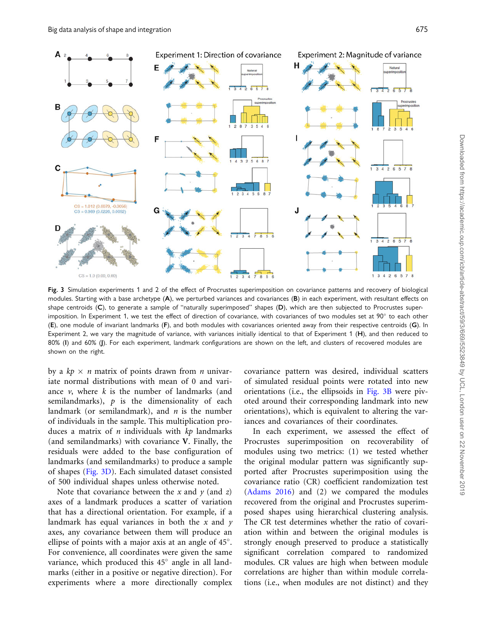<span id="page-6-0"></span>

Fig. 3 Simulation experiments 1 and 2 of the effect of Procrustes superimposition on covariance patterns and recovery of biological modules. Starting with a base archetype  $(A)$ , we perturbed variances and covariances  $(B)$  in each experiment, with resultant effects on shape centroids (C), to generate a sample of "naturally superimposed" shapes (D), which are then subjected to Procrustes superimposition. In Experiment 1, we test the effect of direction of covariance, with covariances of two modules set at  $90^\circ$  to each other (E), one module of invariant landmarks (F), and both modules with covariances oriented away from their respective centroids (G). In Experiment 2, we vary the magnitude of variance, with variances initially identical to that of Experiment 1 (H), and then reduced to 80% (I) and 60% (J). For each experiment, landmark configurations are shown on the left, and clusters of recovered modules are shown on the right.

by a  $kp \times n$  matrix of points drawn from  $n$  univariate normal distributions with mean of 0 and variance  $v$ , where  $k$  is the number of landmarks (and semilandmarks),  $p$  is the dimensionality of each landmark (or semilandmark), and  $n$  is the number of individuals in the sample. This multiplication produces a matrix of  $n$  individuals with  $kp$  landmarks (and semilandmarks) with covariance V. Finally, the residuals were added to the base configuration of landmarks (and semilandmarks) to produce a sample of shapes (Fig. 3D). Each simulated dataset consisted of 500 individual shapes unless otherwise noted.

Note that covariance between the x and  $y$  (and z) axes of a landmark produces a scatter of variation that has a directional orientation. For example, if a landmark has equal variances in both the x and  $y$ axes, any covariance between them will produce an ellipse of points with a major axis at an angle of 45°. For convenience, all coordinates were given the same variance, which produced this  $45^{\circ}$  angle in all landmarks (either in a positive or negative direction). For experiments where a more directionally complex

covariance pattern was desired, individual scatters of simulated residual points were rotated into new orientations (i.e., the ellipsoids in Fig. 3B were pivoted around their corresponding landmark into new orientations), which is equivalent to altering the variances and covariances of their coordinates.

In each experiment, we assessed the effect of Procrustes superimposition on recoverability of modules using two metrics: (1) we tested whether the original modular pattern was significantly supported after Procrustes superimposition using the covariance ratio (CR) coefficient randomization test [\(Adams 2016](#page-13-0)) and (2) we compared the modules recovered from the original and Procrustes superimposed shapes using hierarchical clustering analysis. The CR test determines whether the ratio of covariation within and between the original modules is strongly enough preserved to produce a statistically significant correlation compared to randomized modules. CR values are high when between module correlations are higher than within module correlations (i.e., when modules are not distinct) and they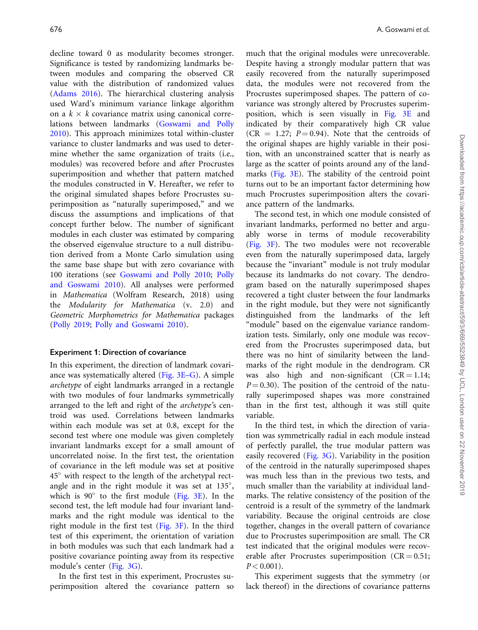decline toward 0 as modularity becomes stronger. Significance is tested by randomizing landmarks between modules and comparing the observed CR value with the distribution of randomized values [\(Adams 2016](#page-13-0)). The hierarchical clustering analysis used Ward's minimum variance linkage algorithm on a  $k \times k$  covariance matrix using canonical correlations between landmarks ([Goswami and Polly](#page-13-0) [2010](#page-13-0)). This approach minimizes total within-cluster variance to cluster landmarks and was used to determine whether the same organization of traits (i.e., modules) was recovered before and after Procrustes superimposition and whether that pattern matched the modules constructed in V. Hereafter, we refer to the original simulated shapes before Procrustes superimposition as "naturally superimposed," and we discuss the assumptions and implications of that concept further below. The number of significant modules in each cluster was estimated by comparing the observed eigenvalue structure to a null distribution derived from a Monte Carlo simulation using the same base shape but with zero covariance with 100 iterations (see [Goswami and Polly 2010;](#page-13-0) [Polly](#page-14-0) [and Goswami 2010\)](#page-14-0). All analyses were performed in Mathematica (Wolfram Research, 2018) using the Modularity for Mathematica (v. 2.0) and Geometric Morphometrics for Mathematica packages [\(Polly 2019;](#page-14-0) [Polly and Goswami 2010\)](#page-14-0).

#### Experiment 1: Direction of covariance

In this experiment, the direction of landmark covariance was systematically altered ([Fig. 3E–G\)](#page-6-0). A simple archetype of eight landmarks arranged in a rectangle with two modules of four landmarks symmetrically arranged to the left and right of the archetype's centroid was used. Correlations between landmarks within each module was set at 0.8, except for the second test where one module was given completely invariant landmarks except for a small amount of uncorrelated noise. In the first test, the orientation of covariance in the left module was set at positive  $45^\circ$  with respect to the length of the archetypal rectangle and in the right module it was set at  $135^{\circ}$ , which is  $90^\circ$  to the first module ([Fig. 3E](#page-6-0)). In the second test, the left module had four invariant landmarks and the right module was identical to the right module in the first test ([Fig. 3F\)](#page-6-0). In the third test of this experiment, the orientation of variation in both modules was such that each landmark had a positive covariance pointing away from its respective module's center ([Fig. 3G\)](#page-6-0).

In the first test in this experiment, Procrustes superimposition altered the covariance pattern so much that the original modules were unrecoverable. Despite having a strongly modular pattern that was easily recovered from the naturally superimposed data, the modules were not recovered from the Procrustes superimposed shapes. The pattern of covariance was strongly altered by Procrustes superimposition, which is seen visually in [Fig. 3E](#page-6-0) and indicated by their comparatively high CR value  $(CR = 1.27; P = 0.94)$ . Note that the centroids of the original shapes are highly variable in their position, with an unconstrained scatter that is nearly as large as the scatter of points around any of the landmarks (Fig.  $3E$ ). The stability of the centroid point turns out to be an important factor determining how much Procrustes superimposition alters the covariance pattern of the landmarks.

The second test, in which one module consisted of invariant landmarks, performed no better and arguably worse in terms of module recoverability ([Fig. 3F\)](#page-6-0). The two modules were not recoverable even from the naturally superimposed data, largely because the "invariant" module is not truly modular because its landmarks do not covary. The dendrogram based on the naturally superimposed shapes recovered a tight cluster between the four landmarks in the right module, but they were not significantly distinguished from the landmarks of the left "module" based on the eigenvalue variance randomization tests. Similarly, only one module was recovered from the Procrustes superimposed data, but there was no hint of similarity between the landmarks of the right module in the dendrogram. CR was also high and non-significant  $(CR = 1.14;$  $P = 0.30$ ). The position of the centroid of the naturally superimposed shapes was more constrained than in the first test, although it was still quite variable.

In the third test, in which the direction of variation was symmetrically radial in each module instead of perfectly parallel, the true modular pattern was easily recovered ([Fig. 3G](#page-6-0)). Variability in the position of the centroid in the naturally superimposed shapes was much less than in the previous two tests, and much smaller than the variability at individual landmarks. The relative consistency of the position of the centroid is a result of the symmetry of the landmark variability. Because the original centroids are close together, changes in the overall pattern of covariance due to Procrustes superimposition are small. The CR test indicated that the original modules were recoverable after Procrustes superimposition ( $CR = 0.51$ ;  $P < 0.001$ ).

This experiment suggests that the symmetry (or lack thereof) in the directions of covariance patterns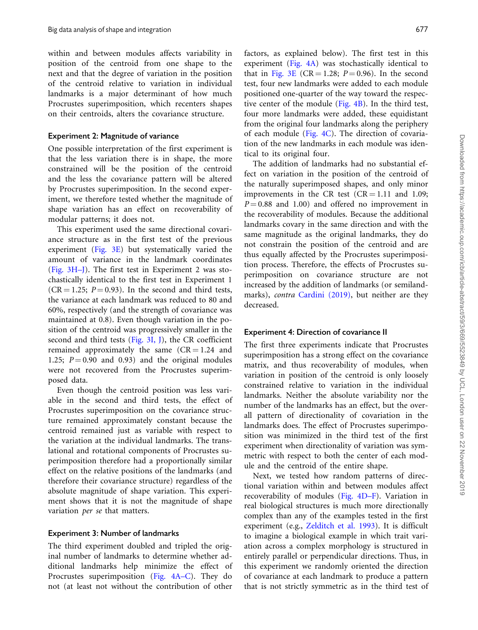within and between modules affects variability in position of the centroid from one shape to the next and that the degree of variation in the position of the centroid relative to variation in individual landmarks is a major determinant of how much Procrustes superimposition, which recenters shapes on their centroids, alters the covariance structure.

#### Experiment 2: Magnitude of variance

One possible interpretation of the first experiment is that the less variation there is in shape, the more constrained will be the position of the centroid and the less the covariance pattern will be altered by Procrustes superimposition. In the second experiment, we therefore tested whether the magnitude of shape variation has an effect on recoverability of modular patterns; it does not.

This experiment used the same directional covariance structure as in the first test of the previous experiment [\(Fig. 3E\)](#page-6-0) but systematically varied the amount of variance in the landmark coordinates ([Fig. 3H–J](#page-6-0)). The first test in Experiment 2 was stochastically identical to the first test in Experiment 1  $(CR = 1.25; P = 0.93)$ . In the second and third tests, the variance at each landmark was reduced to 80 and 60%, respectively (and the strength of covariance was maintained at 0.8). Even though variation in the position of the centroid was progressively smaller in the second and third tests [\(Fig. 3I, J](#page-6-0)), the CR coefficient remained approximately the same  $(CR = 1.24$  and 1.25;  $P = 0.90$  and 0.93) and the original modules were not recovered from the Procrustes superimposed data.

Even though the centroid position was less variable in the second and third tests, the effect of Procrustes superimposition on the covariance structure remained approximately constant because the centroid remained just as variable with respect to the variation at the individual landmarks. The translational and rotational components of Procrustes superimposition therefore had a proportionally similar effect on the relative positions of the landmarks (and therefore their covariance structure) regardless of the absolute magnitude of shape variation. This experiment shows that it is not the magnitude of shape variation *per se* that matters.

#### Experiment 3: Number of landmarks

The third experiment doubled and tripled the original number of landmarks to determine whether additional landmarks help minimize the effect of Procrustes superimposition ([Fig. 4A–C\)](#page-9-0). They do not (at least not without the contribution of other

factors, as explained below). The first test in this experiment [\(Fig. 4A](#page-9-0)) was stochastically identical to that in [Fig. 3E](#page-6-0) (CR = 1.28;  $P = 0.96$ ). In the second test, four new landmarks were added to each module positioned one-quarter of the way toward the respective center of the module [\(Fig. 4B\)](#page-9-0). In the third test, four more landmarks were added, these equidistant from the original four landmarks along the periphery of each module ([Fig. 4C](#page-9-0)). The direction of covariation of the new landmarks in each module was identical to its original four.

The addition of landmarks had no substantial effect on variation in the position of the centroid of the naturally superimposed shapes, and only minor improvements in the CR test  $(CR = 1.11$  and 1.09;  $P = 0.88$  and 1.00) and offered no improvement in the recoverability of modules. Because the additional landmarks covary in the same direction and with the same magnitude as the original landmarks, they do not constrain the position of the centroid and are thus equally affected by the Procrustes superimposition process. Therefore, the effects of Procrustes superimposition on covariance structure are not increased by the addition of landmarks (or semilandmarks), contra [Cardini \(2019\),](#page-13-0) but neither are they decreased.

#### Experiment 4: Direction of covariance II

The first three experiments indicate that Procrustes superimposition has a strong effect on the covariance matrix, and thus recoverability of modules, when variation in position of the centroid is only loosely constrained relative to variation in the individual landmarks. Neither the absolute variability nor the number of the landmarks has an effect, but the overall pattern of directionality of covariation in the landmarks does. The effect of Procrustes superimposition was minimized in the third test of the first experiment when directionality of variation was symmetric with respect to both the center of each module and the centroid of the entire shape.

Next, we tested how random patterns of directional variation within and between modules affect recoverability of modules ([Fig. 4D–F](#page-9-0)). Variation in real biological structures is much more directionally complex than any of the examples tested in the first experiment (e.g., [Zelditch et al. 1993\)](#page-14-0). It is difficult to imagine a biological example in which trait variation across a complex morphology is structured in entirely parallel or perpendicular directions. Thus, in this experiment we randomly oriented the direction of covariance at each landmark to produce a pattern that is not strictly symmetric as in the third test of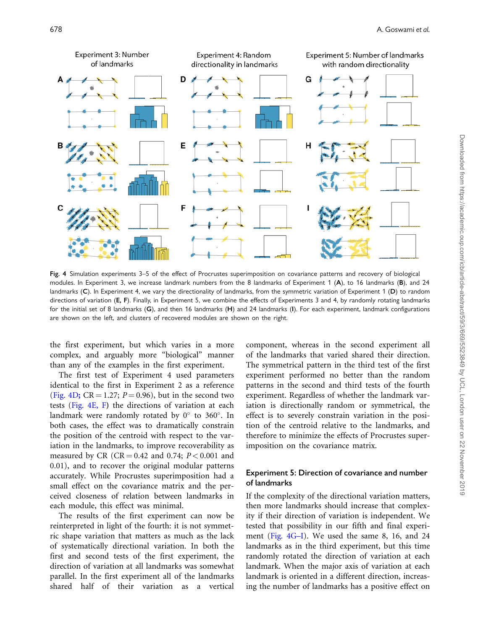<span id="page-9-0"></span>

Fig. 4 Simulation experiments 3–5 of the effect of Procrustes superimposition on covariance patterns and recovery of biological modules. In Experiment 3, we increase landmark numbers from the 8 landmarks of Experiment 1 (A), to 16 landmarks (B), and 24 landmarks (C). In Experiment 4, we vary the directionality of landmarks, from the symmetric variation of Experiment 1 (D) to random directions of variation (E, F). Finally, in Experiment 5, we combine the effects of Experiments 3 and 4, by randomly rotating landmarks for the initial set of 8 landmarks (G), and then 16 landmarks (H) and 24 landmarks (I). For each experiment, landmark configurations are shown on the left, and clusters of recovered modules are shown on the right.

the first experiment, but which varies in a more complex, and arguably more "biological" manner than any of the examples in the first experiment.

The first test of Experiment 4 used parameters identical to the first in Experiment 2 as a reference (Fig. 4D;  $CR = 1.27$ ;  $P = 0.96$ ), but in the second two tests (Fig. 4E, F) the directions of variation at each landmark were randomly rotated by  $0^\circ$  to 360°. In both cases, the effect was to dramatically constrain the position of the centroid with respect to the variation in the landmarks, to improve recoverability as measured by CR (CR = 0.42 and 0.74;  $P < 0.001$  and 0.01), and to recover the original modular patterns accurately. While Procrustes superimposition had a small effect on the covariance matrix and the perceived closeness of relation between landmarks in each module, this effect was minimal.

The results of the first experiment can now be reinterpreted in light of the fourth: it is not symmetric shape variation that matters as much as the lack of systematically directional variation. In both the first and second tests of the first experiment, the direction of variation at all landmarks was somewhat parallel. In the first experiment all of the landmarks shared half of their variation as a vertical

component, whereas in the second experiment all of the landmarks that varied shared their direction. The symmetrical pattern in the third test of the first experiment performed no better than the random patterns in the second and third tests of the fourth experiment. Regardless of whether the landmark variation is directionally random or symmetrical, the effect is to severely constrain variation in the position of the centroid relative to the landmarks, and therefore to minimize the effects of Procrustes superimposition on the covariance matrix.

# Experiment 5: Direction of covariance and number of landmarks

If the complexity of the directional variation matters, then more landmarks should increase that complexity if their direction of variation is independent. We tested that possibility in our fifth and final experiment (Fig. 4G–I). We used the same 8, 16, and 24 landmarks as in the third experiment, but this time randomly rotated the direction of variation at each landmark. When the major axis of variation at each landmark is oriented in a different direction, increasing the number of landmarks has a positive effect on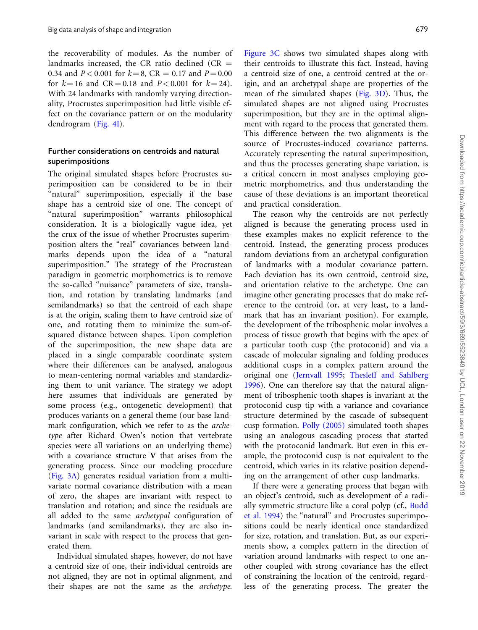the recoverability of modules. As the number of landmarks increased, the CR ratio declined (CR  $=$ 0.34 and  $P < 0.001$  for  $k = 8$ , CR = 0.17 and  $P = 0.00$ for  $k = 16$  and  $CR = 0.18$  and  $P < 0.001$  for  $k = 24$ ). With 24 landmarks with randomly varying directionality, Procrustes superimposition had little visible effect on the covariance pattern or on the modularity dendrogram [\(Fig. 4I](#page-9-0)).

### Further considerations on centroids and natural superimpositions

The original simulated shapes before Procrustes superimposition can be considered to be in their "natural" superimposition, especially if the base shape has a centroid size of one. The concept of "natural superimposition" warrants philosophical consideration. It is a biologically vague idea, yet the crux of the issue of whether Procrustes superimposition alters the "real" covariances between landmarks depends upon the idea of a "natural superimposition." The strategy of the Procrustean paradigm in geometric morphometrics is to remove the so-called "nuisance" parameters of size, translation, and rotation by translating landmarks (and semilandmarks) so that the centroid of each shape is at the origin, scaling them to have centroid size of one, and rotating them to minimize the sum-ofsquared distance between shapes. Upon completion of the superimposition, the new shape data are placed in a single comparable coordinate system where their differences can be analysed, analogous to mean-centering normal variables and standardizing them to unit variance. The strategy we adopt here assumes that individuals are generated by some process (e.g., ontogenetic development) that produces variants on a general theme (our base landmark configuration, which we refer to as the archetype after Richard Owen's notion that vertebrate species were all variations on an underlying theme) with a covariance structure V that arises from the generating process. Since our modeling procedure ([Fig. 3A](#page-6-0)) generates residual variation from a multivariate normal covariance distribution with a mean of zero, the shapes are invariant with respect to translation and rotation; and since the residuals are all added to the same archetypal configuration of landmarks (and semilandmarks), they are also invariant in scale with respect to the process that generated them.

Individual simulated shapes, however, do not have a centroid size of one, their individual centroids are not aligned, they are not in optimal alignment, and their shapes are not the same as the archetype. [Figure 3C](#page-6-0) shows two simulated shapes along with their centroids to illustrate this fact. Instead, having a centroid size of one, a centroid centred at the origin, and an archetypal shape are properties of the mean of the simulated shapes ([Fig. 3D\)](#page-6-0). Thus, the simulated shapes are not aligned using Procrustes superimposition, but they are in the optimal alignment with regard to the process that generated them. This difference between the two alignments is the source of Procrustes-induced covariance patterns. Accurately representing the natural superimposition, and thus the processes generating shape variation, is a critical concern in most analyses employing geometric morphometrics, and thus understanding the cause of these deviations is an important theoretical and practical consideration.

The reason why the centroids are not perfectly aligned is because the generating process used in these examples makes no explicit reference to the centroid. Instead, the generating process produces random deviations from an archetypal configuration of landmarks with a modular covariance pattern. Each deviation has its own centroid, centroid size, and orientation relative to the archetype. One can imagine other generating processes that do make reference to the centroid (or, at very least, to a landmark that has an invariant position). For example, the development of the tribosphenic molar involves a process of tissue growth that begins with the apex of a particular tooth cusp (the protoconid) and via a cascade of molecular signaling and folding produces additional cusps in a complex pattern around the original one ([Jernvall 1995;](#page-13-0) [Thesleff and Sahlberg](#page-14-0) [1996](#page-14-0)). One can therefore say that the natural alignment of tribosphenic tooth shapes is invariant at the protoconid cusp tip with a variance and covariance structure determined by the cascade of subsequent cusp formation. [Polly \(2005\)](#page-14-0) simulated tooth shapes using an analogous cascading process that started with the protoconid landmark. But even in this example, the protoconid cusp is not equivalent to the centroid, which varies in its relative position depending on the arrangement of other cusp landmarks.

If there were a generating process that began with an object's centroid, such as development of a radially symmetric structure like a coral polyp (cf., [Budd](#page-13-0) [et al. 1994](#page-13-0)) the "natural" and Procrustes superimpositions could be nearly identical once standardized for size, rotation, and translation. But, as our experiments show, a complex pattern in the direction of variation around landmarks with respect to one another coupled with strong covariance has the effect of constraining the location of the centroid, regardless of the generating process. The greater the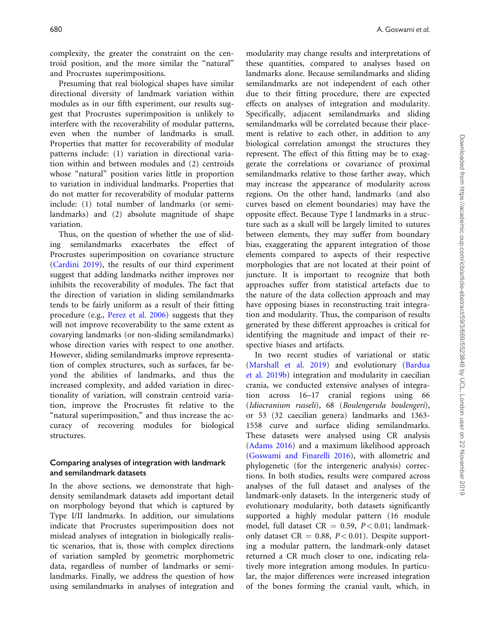complexity, the greater the constraint on the centroid position, and the more similar the "natural" and Procrustes superimpositions.

Presuming that real biological shapes have similar directional diversity of landmark variation within modules as in our fifth experiment, our results suggest that Procrustes superimposition is unlikely to interfere with the recoverability of modular patterns, even when the number of landmarks is small. Properties that matter for recoverability of modular patterns include: (1) variation in directional variation within and between modules and (2) centroids whose "natural" position varies little in proportion to variation in individual landmarks. Properties that do not matter for recoverability of modular patterns include: (1) total number of landmarks (or semilandmarks) and (2) absolute magnitude of shape variation.

Thus, on the question of whether the use of sliding semilandmarks exacerbates the effect of Procrustes superimposition on covariance structure [\(Cardini 2019](#page-13-0)), the results of our third experiment suggest that adding landmarks neither improves nor inhibits the recoverability of modules. The fact that the direction of variation in sliding semilandmarks tends to be fairly uniform as a result of their fitting procedure (e.g., [Perez et al. 2006](#page-14-0)) suggests that they will not improve recoverability to the same extent as covarying landmarks (or non-sliding semilandmarks) whose direction varies with respect to one another. However, sliding semilandmarks improve representation of complex structures, such as surfaces, far beyond the abilities of landmarks, and thus the increased complexity, and added variation in directionality of variation, will constrain centroid variation, improve the Procrustes fit relative to the "natural superimposition," and thus increase the accuracy of recovering modules for biological structures.

# Comparing analyses of integration with landmark and semilandmark datasets

In the above sections, we demonstrate that highdensity semilandmark datasets add important detail on morphology beyond that which is captured by Type I/II landmarks. In addition, our simulations indicate that Procrustes superimposition does not mislead analyses of integration in biologically realistic scenarios, that is, those with complex directions of variation sampled by geometric morphometric data, regardless of number of landmarks or semilandmarks. Finally, we address the question of how using semilandmarks in analyses of integration and

modularity may change results and interpretations of these quantities, compared to analyses based on landmarks alone. Because semilandmarks and sliding semilandmarks are not independent of each other due to their fitting procedure, there are expected effects on analyses of integration and modularity. Specifically, adjacent semilandmarks and sliding semilandmarks will be correlated because their placement is relative to each other, in addition to any biological correlation amongst the structures they represent. The effect of this fitting may be to exag-

gerate the correlations or covariance of proximal semilandmarks relative to those farther away, which may increase the appearance of modularity across regions. On the other hand, landmarks (and also curves based on element boundaries) may have the opposite effect. Because Type I landmarks in a structure such as a skull will be largely limited to sutures between elements, they may suffer from boundary bias, exaggerating the apparent integration of those elements compared to aspects of their respective morphologies that are not located at their point of juncture. It is important to recognize that both approaches suffer from statistical artefacts due to the nature of the data collection approach and may have opposing biases in reconstructing trait integration and modularity. Thus, the comparison of results generated by these different approaches is critical for identifying the magnitude and impact of their respective biases and artifacts.

In two recent studies of variational or static ([Marshall et al. 2019](#page-13-0)) and evolutionary ([Bardua](#page-13-0) [et al. 2019b](#page-13-0)) integration and modularity in caecilian crania, we conducted extensive analyses of integration across 16–17 cranial regions using 66 (Idiocranium russeli), 68 (Boulengerula boulengeri), or 53 (32 caecilian genera) landmarks and 1363- 1558 curve and surface sliding semilandmarks. These datasets were analysed using CR analysis ([Adams 2016](#page-13-0)) and a maximum likelihood approach ([Goswami and Finarelli 2016](#page-13-0)), with allometric and phylogenetic (for the intergeneric analysis) corrections. In both studies, results were compared across analyses of the full dataset and analyses of the landmark-only datasets. In the intergeneric study of evolutionary modularity, both datasets significantly supported a highly modular pattern (16 module model, full dataset CR = 0.59,  $P < 0.01$ ; landmarkonly dataset  $CR = 0.88$ ,  $P < 0.01$ ). Despite supporting a modular pattern, the landmark-only dataset returned a CR much closer to one, indicating relatively more integration among modules. In particular, the major differences were increased integration of the bones forming the cranial vault, which, in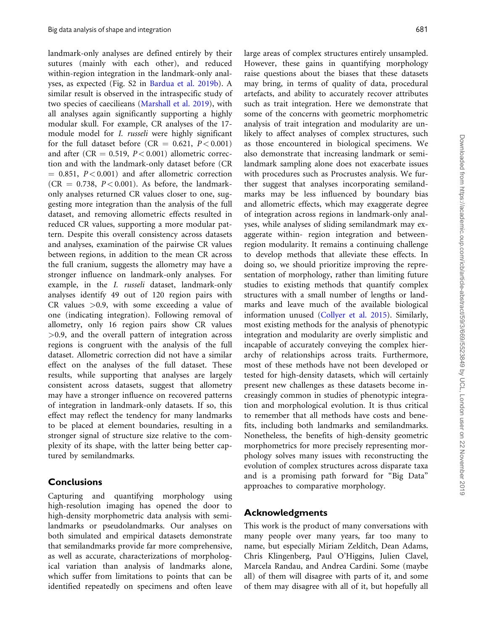landmark-only analyses are defined entirely by their sutures (mainly with each other), and reduced within-region integration in the landmark-only analyses, as expected (Fig. S2 in [Bardua et al. 2019b](#page-13-0)). A similar result is observed in the intraspecific study of two species of caecilieans [\(Marshall et al. 2019\)](#page-13-0), with all analyses again significantly supporting a highly modular skull. For example, CR analyses of the 17 module model for I. russeli were highly significant for the full dataset before (CR =  $0.621, P < 0.001$ ) and after ( $CR = 0.519$ ,  $P < 0.001$ ) allometric correction and with the landmark-only dataset before (CR  $= 0.851, P < 0.001$  and after allometric correction  $(CR = 0.738, P < 0.001)$ . As before, the landmarkonly analyses returned CR values closer to one, suggesting more integration than the analysis of the full dataset, and removing allometric effects resulted in reduced CR values, supporting a more modular pattern. Despite this overall consistency across datasets and analyses, examination of the pairwise CR values between regions, in addition to the mean CR across the full cranium, suggests the allometry may have a stronger influence on landmark-only analyses. For example, in the I. russeli dataset, landmark-only analyses identify 49 out of 120 region pairs with CR values  $>0.9$ , with some exceeding a value of one (indicating integration). Following removal of allometry, only 16 region pairs show CR values >0.9, and the overall pattern of integration across regions is congruent with the analysis of the full dataset. Allometric correction did not have a similar effect on the analyses of the full dataset. These results, while supporting that analyses are largely consistent across datasets, suggest that allometry may have a stronger influence on recovered patterns of integration in landmark-only datasets. If so, this effect may reflect the tendency for many landmarks to be placed at element boundaries, resulting in a stronger signal of structure size relative to the complexity of its shape, with the latter being better captured by semilandmarks.

### **Conclusions**

Capturing and quantifying morphology using high-resolution imaging has opened the door to high-density morphometric data analysis with semilandmarks or pseudolandmarks. Our analyses on both simulated and empirical datasets demonstrate that semilandmarks provide far more comprehensive, as well as accurate, characterizations of morphological variation than analysis of landmarks alone, which suffer from limitations to points that can be identified repeatedly on specimens and often leave large areas of complex structures entirely unsampled. However, these gains in quantifying morphology raise questions about the biases that these datasets may bring, in terms of quality of data, procedural artefacts, and ability to accurately recover attributes such as trait integration. Here we demonstrate that some of the concerns with geometric morphometric analysis of trait integration and modularity are unlikely to affect analyses of complex structures, such as those encountered in biological specimens. We also demonstrate that increasing landmark or semilandmark sampling alone does not exacerbate issues with procedures such as Procrustes analysis. We further suggest that analyses incorporating semilandmarks may be less influenced by boundary bias and allometric effects, which may exaggerate degree of integration across regions in landmark-only analyses, while analyses of sliding semilandmark may exaggerate within- region integration and betweenregion modularity. It remains a continuing challenge to develop methods that alleviate these effects. In doing so, we should prioritize improving the representation of morphology, rather than limiting future studies to existing methods that quantify complex structures with a small number of lengths or landmarks and leave much of the available biological information unused ([Collyer et al. 2015\)](#page-13-0). Similarly, most existing methods for the analysis of phenotypic integration and modularity are overly simplistic and incapable of accurately conveying the complex hierarchy of relationships across traits. Furthermore, most of these methods have not been developed or tested for high-density datasets, which will certainly present new challenges as these datasets become increasingly common in studies of phenotypic integration and morphological evolution. It is thus critical to remember that all methods have costs and benefits, including both landmarks and semilandmarks. Nonetheless, the benefits of high-density geometric morphometrics for more precisely representing morphology solves many issues with reconstructing the evolution of complex structures across disparate taxa and is a promising path forward for "Big Data" approaches to comparative morphology.

# Acknowledgments

This work is the product of many conversations with many people over many years, far too many to name, but especially Miriam Zelditch, Dean Adams, Chris Klingenberg, Paul O'Higgins, Julien Clavel, Marcela Randau, and Andrea Cardini. Some (maybe all) of them will disagree with parts of it, and some of them may disagree with all of it, but hopefully all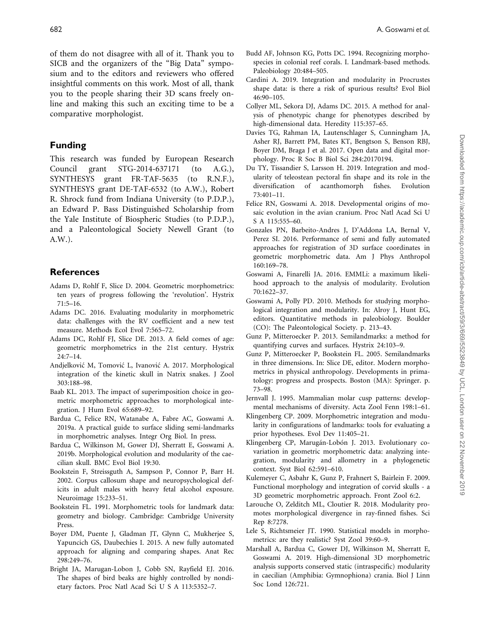<span id="page-13-0"></span>of them do not disagree with all of it. Thank you to SICB and the organizers of the "Big Data" symposium and to the editors and reviewers who offered insightful comments on this work. Most of all, thank you to the people sharing their 3D scans freely online and making this such an exciting time to be a comparative morphologist.

# Funding

This research was funded by European Research Council grant STG-2014-637171 (to A.G.), SYNTHESYS grant FR-TAF-5635 (to R.N.F.), SYNTHESYS grant DE-TAF-6532 (to A.W.), Robert R. Shrock fund from Indiana University (to P.D.P.), an Edward P. Bass Distinguished Scholarship from the Yale Institute of Biospheric Studies (to P.D.P.), and a Paleontological Society Newell Grant (to A.W.).

# References

- Adams D, Rohlf F, Slice D. 2004. Geometric morphometrics: ten years of progress following the 'revolution'. Hystrix 71:5–16.
- Adams DC. 2016. Evaluating modularity in morphometric data: challenges with the RV coefficient and a new test measure. Methods Ecol Evol 7:565–72.
- Adams DC, Rohlf FJ, Slice DE. 2013. A field comes of age: geometric morphometrics in the 21st century. Hystrix 24:7–14.
- Andjelković M, Tomović L, Ivanović A. 2017. Morphological integration of the kinetic skull in Natrix snakes. J Zool 303:188–98.
- Baab KL. 2013. The impact of superimposition choice in geometric morphometric approaches to morphological integration. J Hum Evol 65:689–92.
- Bardua C, Felice RN, Watanabe A, Fabre AC, Goswami A. 2019a. A practical guide to surface sliding semi-landmarks in morphometric analyses. Integr Org Biol. In press.
- Bardua C, Wilkinson M, Gower DJ, Sherratt E, Goswami A. 2019b. Morphological evolution and modularity of the caecilian skull. BMC Evol Biol 19:30.
- Bookstein F, Streissguth A, Sampson P, Connor P, Barr H. 2002. Corpus callosum shape and neuropsychological deficits in adult males with heavy fetal alcohol exposure. Neuroimage 15:233–51.
- Bookstein FL. 1991. Morphometric tools for landmark data: geometry and biology. Cambridge: Cambridge University Press.
- Boyer DM, Puente J, Gladman JT, Glynn C, Mukherjee S, Yapuncich GS, Daubechies I. 2015. A new fully automated approach for aligning and comparing shapes. Anat Rec 298:249–76.
- Bright JA, Marugan-Lobon J, Cobb SN, Rayfield EJ. 2016. The shapes of bird beaks are highly controlled by nondietary factors. Proc Natl Acad Sci U S A 113:5352–7.
- Budd AF, Johnson KG, Potts DC. 1994. Recognizing morphospecies in colonial reef corals. I. Landmark-based methods. Paleobiology 20:484–505.
- Cardini A. 2019. Integration and modularity in Procrustes shape data: is there a risk of spurious results? Evol Biol 46:90–105.
- Collyer ML, Sekora DJ, Adams DC. 2015. A method for analysis of phenotypic change for phenotypes described by high-dimensional data. Heredity 115:357–65.
- Davies TG, Rahman IA, Lautenschlager S, Cunningham JA, Asher RJ, Barrett PM, Bates KT, Bengtson S, Benson RBJ, Boyer DM, Braga J et al. 2017. Open data and digital morphology. Proc R Soc B Biol Sci 284:20170194.
- Du TY, Tissandier S, Larsson H. 2019. Integration and modularity of teleostean pectoral fin shape and its role in the diversification of acanthomorph fishes. Evolution 73:401–11.
- Felice RN, Goswami A. 2018. Developmental origins of mosaic evolution in the avian cranium. Proc Natl Acad Sci U S A 115:555-60.
- Gonzales PN, Barbeito-Andres J, D'Addona LA, Bernal V, Perez SI. 2016. Performance of semi and fully automated approaches for registration of 3D surface coordinates in geometric morphometric data. Am J Phys Anthropol 160:169–78.
- Goswami A, Finarelli JA. 2016. EMMLi: a maximum likelihood approach to the analysis of modularity. Evolution 70:1622–37.
- Goswami A, Polly PD. 2010. Methods for studying morphological integration and modularity. In: Alroy J, Hunt EG, editors. Quantitative methods in paleobiology. Boulder (CO): The Paleontological Society. p. 213–43.
- Gunz P, Mitteroecker P. 2013. Semilandmarks: a method for quantifying curves and surfaces. Hystrix 24:103–9.
- Gunz P, Mitteroecker P, Bookstein FL. 2005. Semilandmarks in three dimensions. In: Slice DE, editor. Modern morphometrics in physical anthropology. Developments in primatology: progress and prospects. Boston (MA): Springer. p. 73–98.
- Jernvall J. 1995. Mammalian molar cusp patterns: developmental mechanisms of diversity. Acta Zool Fenn 198:1–61.
- Klingenberg CP. 2009. Morphometric integration and modularity in configurations of landmarks: tools for evaluating a prior hypotheses. Evol Dev 11:405–21.
- Klingenberg CP, Marugán-Lobón J. 2013. Evolutionary covariation in geometric morphometric data: analyzing integration, modularity and allometry in a phylogenetic context. Syst Biol 62:591–610.
- Kulemeyer C, Asbahr K, Gunz P, Frahnert S, Bairlein F. 2009. Functional morphology and integration of corvid skulls - a 3D geometric morphometric approach. Front Zool 6:2.
- Larouche O, Zelditch ML, Cloutier R. 2018. Modularity promotes morphological divergence in ray-finned fishes. Sci Rep 8:7278.
- Lele S, Richtsmeier JT. 1990. Statistical models in morphometrics: are they realistic? Syst Zool 39:60–9.
- Marshall A, Bardua C, Gower DJ, Wilkinson M, Sherratt E, Goswami A. 2019. High-dimensional 3D morphometric analysis supports conserved static (intraspecific) modularity in caecilian (Amphibia: Gymnophiona) crania. Biol J Linn Soc Lond 126:721.